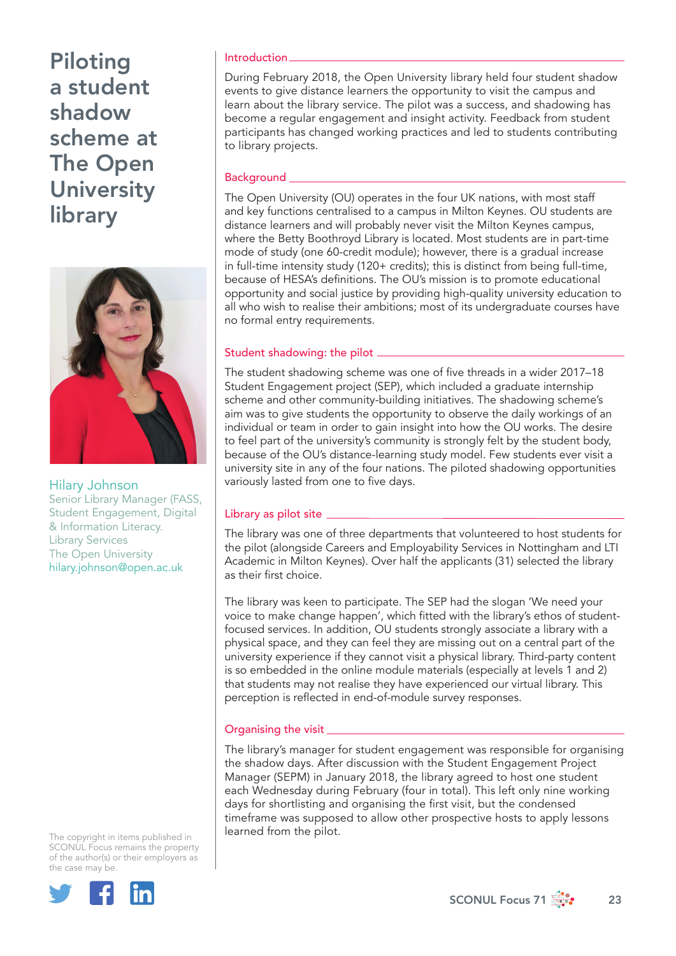

Hilary Johnson Senior Library Manager (FASS, Student Engagement, Digital & Information Literacy. Library Services The Open University hilary.johnson@open.ac.uk

The copyright in items published in SCONUL Focus remains the property of the author(s) or their employers as the case may be.



#### Introduction

During February 2018, the Open University library held four student shadow events to give distance learners the opportunity to visit the campus and learn about the library service. The pilot was a success, and shadowing has become a regular engagement and insight activity. Feedback from student participants has changed working practices and led to students contributing to library projects.

## Background

The Open University (OU) operates in the four UK nations, with most staff and key functions centralised to a campus in Milton Keynes. OU students are distance learners and will probably never visit the Milton Keynes campus, where the Betty Boothroyd Library is located. Most students are in part-time mode of study (one 60-credit module); however, there is a gradual increase in full-time intensity study (120+ credits); this is distinct from being full-time, because of HESA's definitions. The OU's mission is to promote educational opportunity and social justice by providing high-quality university education to all who wish to realise their ambitions; most of its undergraduate courses have no formal entry requirements.

## Student shadowing: the pilot

The student shadowing scheme was one of five threads in a wider 2017–18 Student Engagement project (SEP), which included a graduate internship scheme and other community-building initiatives. The shadowing scheme's aim was to give students the opportunity to observe the daily workings of an individual or team in order to gain insight into how the OU works. The desire to feel part of the university's community is strongly felt by the student body, because of the OU's distance-learning study model. Few students ever visit a university site in any of the four nations. The piloted shadowing opportunities variously lasted from one to five days.

## Library as pilot site \_\_\_\_

The library was one of three departments that volunteered to host students for the pilot (alongside Careers and Employability Services in Nottingham and LTI Academic in Milton Keynes). Over half the applicants (31) selected the library as their first choice.

The library was keen to participate. The SEP had the slogan 'We need your voice to make change happen', which fitted with the library's ethos of studentfocused services. In addition, OU students strongly associate a library with a physical space, and they can feel they are missing out on a central part of the university experience if they cannot visit a physical library. Third-party content is so embedded in the online module materials (especially at levels 1 and 2) that students may not realise they have experienced our virtual library. This perception is reflected in end-of-module survey responses.

## Organising the visit

The library's manager for student engagement was responsible for organising the shadow days. After discussion with the Student Engagement Project Manager (SEPM) in January 2018, the library agreed to host one student each Wednesday during February (four in total). This left only nine working days for shortlisting and organising the first visit, but the condensed timeframe was supposed to allow other prospective hosts to apply lessons learned from the pilot.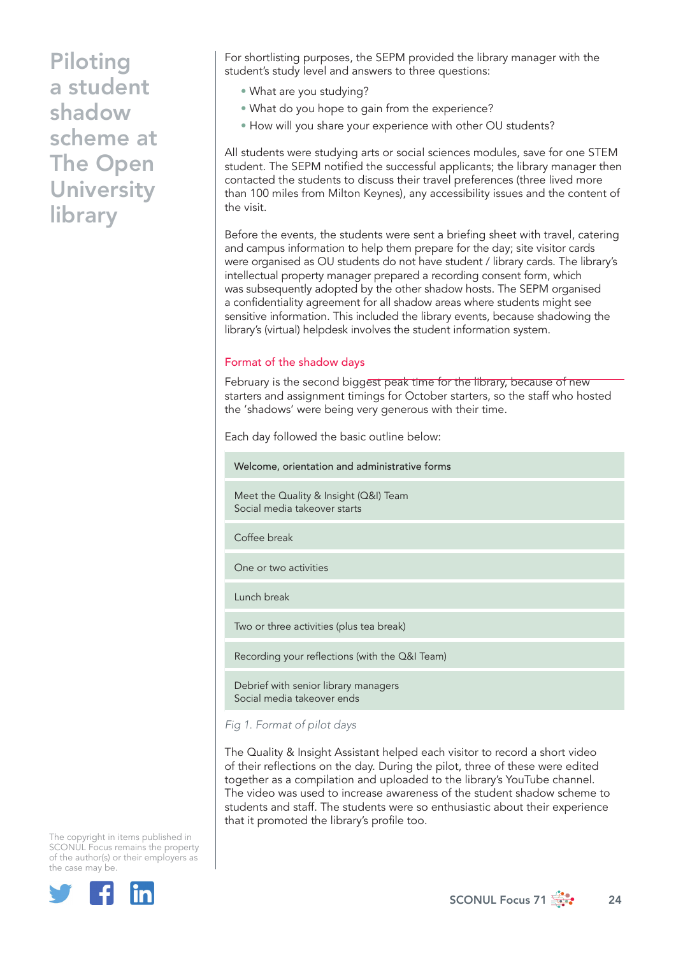For shortlisting purposes, the SEPM provided the library manager with the student's study level and answers to three questions:

- What are you studying?
- What do you hope to gain from the experience?
- How will you share your experience with other OU students?

All students were studying arts or social sciences modules, save for one STEM student. The SEPM notified the successful applicants; the library manager then contacted the students to discuss their travel preferences (three lived more than 100 miles from Milton Keynes), any accessibility issues and the content of the visit.

Before the events, the students were sent a briefing sheet with travel, catering and campus information to help them prepare for the day; site visitor cards were organised as OU students do not have student / library cards. The library's intellectual property manager prepared a recording consent form, which was subsequently adopted by the other shadow hosts. The SEPM organised a confidentiality agreement for all shadow areas where students might see sensitive information. This included the library events, because shadowing the library's (virtual) helpdesk involves the student information system.

#### Format of the shadow days

February is the second biggest peak time for the library, because of new starters and assignment timings for October starters, so the staff who hosted the 'shadows' were being very generous with their time.

Each day followed the basic outline below:

Welcome, orientation and administrative forms

Meet the Quality & Insight (Q&I) Team Social media takeover starts

Coffee break

One or two activities

Lunch break

Two or three activities (plus tea break)

Recording your reflections (with the Q&I Team)

Debrief with senior library managers Social media takeover ends

*Fig 1. Format of pilot days*

The Quality & Insight Assistant helped each visitor to record a short video of their reflections on the day. During the pilot, three of these were edited together as a compilation and uploaded to the library's YouTube channel. The video was used to increase awareness of the student shadow scheme to students and staff. The students were so enthusiastic about their experience that it promoted the library's profile too.

The copyright in items published in SCONUL Focus remains the property of the author(s) or their employers as the case may be.



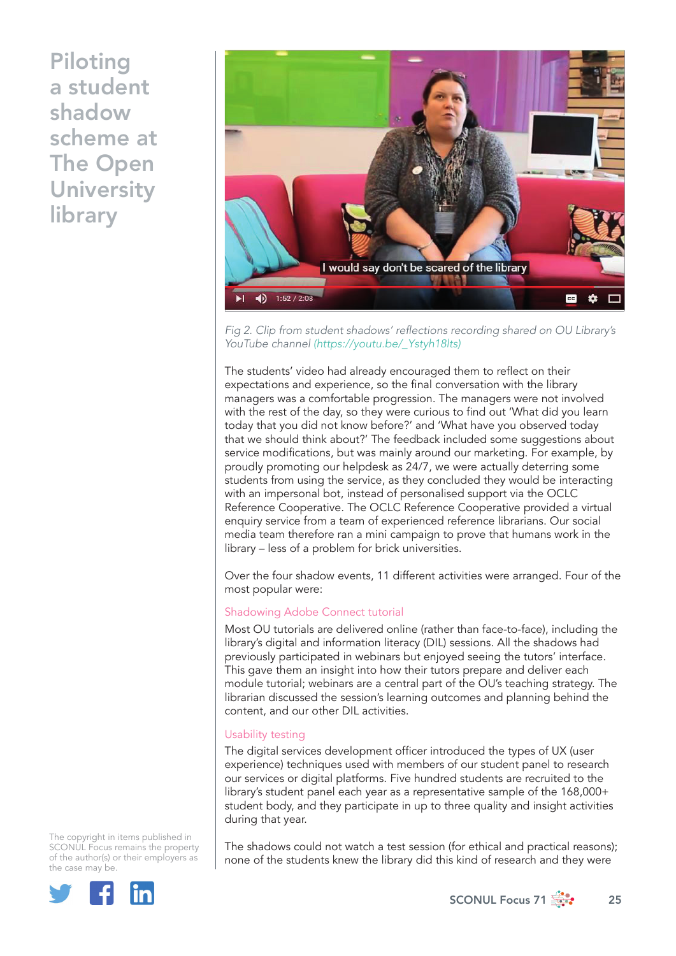

Fig 2. Clip from student shadows' reflections recording shared on OU Library's YouTube channel [\(https://youtu.be/\\_Ystyh18lts\)]( (https://youtu.be/_Ystyh18lts))

The students' video had already encouraged them to reflect on their expectations and experience, so the final conversation with the library managers was a comfortable progression. The managers were not involved with the rest of the day, so they were curious to find out 'What did you learn today that you did not know before?' and 'What have you observed today that we should think about?' The feedback included some suggestions about service modifications, but was mainly around our marketing. For example, by proudly promoting our helpdesk as 24/7, we were actually deterring some students from using the service, as they concluded they would be interacting with an impersonal bot, instead of personalised support via the OCLC Reference Cooperative. The OCLC Reference Cooperative provided a virtual enquiry service from a team of experienced reference librarians. Our social media team therefore ran a mini campaign to prove that humans work in the library – less of a problem for brick universities.

Over the four shadow events, 11 different activities were arranged. Four of the most popular were:

## Shadowing Adobe Connect tutorial

Most OU tutorials are delivered online (rather than face-to-face), including the library's digital and information literacy (DIL) sessions. All the shadows had previously participated in webinars but enjoyed seeing the tutors' interface. This gave them an insight into how their tutors prepare and deliver each module tutorial; webinars are a central part of the OU's teaching strategy. The librarian discussed the session's learning outcomes and planning behind the content, and our other DIL activities.

## Usability testing

The digital services development officer introduced the types of UX (user experience) techniques used with members of our student panel to research our services or digital platforms. Five hundred students are recruited to the library's student panel each year as a representative sample of the 168,000+ student body, and they participate in up to three quality and insight activities during that year.

The copyright in items published in SCONUL Focus remains the property of the author(s) or their employers as the case may be.



The shadows could not watch a test session (for ethical and practical reasons); none of the students knew the library did this kind of research and they were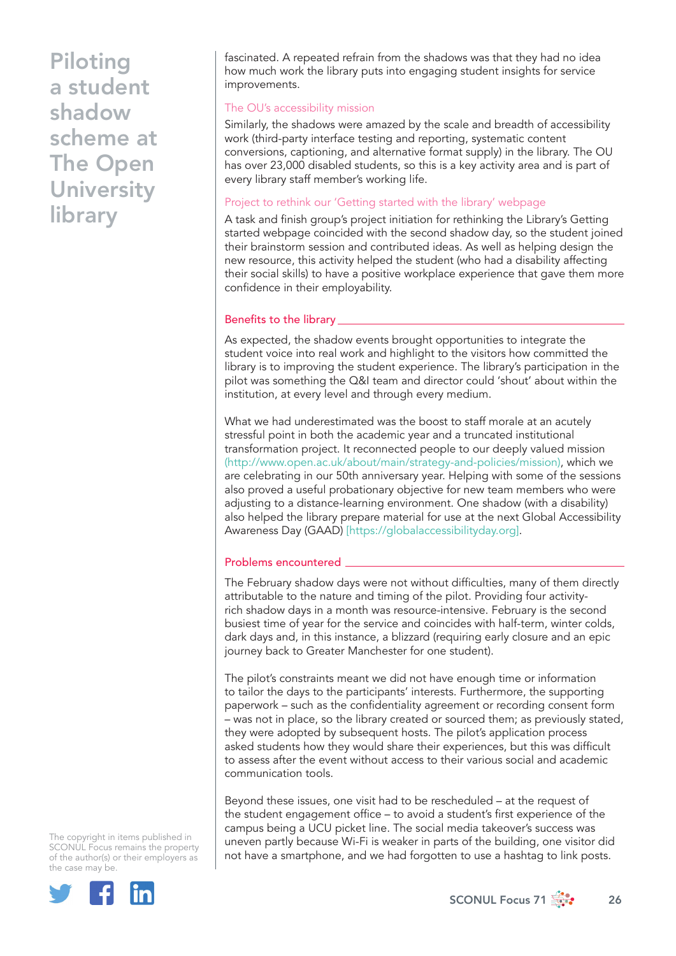fascinated. A repeated refrain from the shadows was that they had no idea how much work the library puts into engaging student insights for service improvements.

#### The OU's accessibility mission

Similarly, the shadows were amazed by the scale and breadth of accessibility work (third-party interface testing and reporting, systematic content conversions, captioning, and alternative format supply) in the library. The OU has over 23,000 disabled students, so this is a key activity area and is part of every library staff member's working life.

## Project to rethink our 'Getting started with the library' webpage

A task and finish group's project initiation for rethinking the Library's Getting started webpage coincided with the second shadow day, so the student joined their brainstorm session and contributed ideas. As well as helping design the new resource, this activity helped the student (who had a disability affecting their social skills) to have a positive workplace experience that gave them more confidence in their employability.

#### Benefits to the library

As expected, the shadow events brought opportunities to integrate the student voice into real work and highlight to the visitors how committed the library is to improving the student experience. The library's participation in the pilot was something the Q&I team and director could 'shout' about within the institution, at every level and through every medium.

What we had underestimated was the boost to staff morale at an acutely stressful point in both the academic year and a truncated institutional transformation project. It reconnected people to our deeply valued mission (http://www.open.ac.uk/about/main/strategy-and-policies/mission), which we are celebrating in our 50th anniversary year. Helping with some of the sessions also proved a useful probationary objective for new team members who were adjusting to a distance-learning environment. One shadow (with a disability) also helped the library prepare material for use at the next Global Accessibility Awareness Day (GAAD) [https://globalaccessibilityday.org].

#### Problems encountered

The February shadow days were not without difficulties, many of them directly attributable to the nature and timing of the pilot. Providing four activityrich shadow days in a month was resource-intensive. February is the second busiest time of year for the service and coincides with half-term, winter colds, dark days and, in this instance, a blizzard (requiring early closure and an epic journey back to Greater Manchester for one student).

The pilot's constraints meant we did not have enough time or information to tailor the days to the participants' interests. Furthermore, the supporting paperwork – such as the confidentiality agreement or recording consent form – was not in place, so the library created or sourced them; as previously stated, they were adopted by subsequent hosts. The pilot's application process asked students how they would share their experiences, but this was difficult to assess after the event without access to their various social and academic communication tools.

Beyond these issues, one visit had to be rescheduled – at the request of the student engagement office – to avoid a student's first experience of the campus being a UCU picket line. The social media takeover's success was uneven partly because Wi-Fi is weaker in parts of the building, one visitor did not have a smartphone, and we had forgotten to use a hashtag to link posts.

The copyright in items published in SCONUL Focus remains the property of the author(s) or their employers as the case may be.



SCONUL Focus 71  $\frac{1}{200}$  26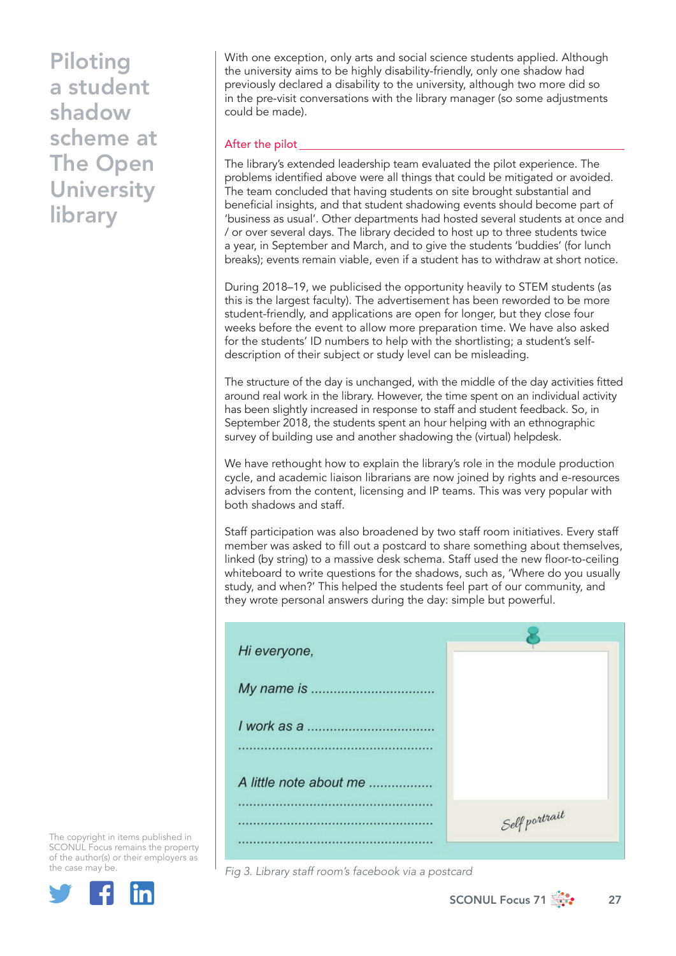With one exception, only arts and social science students applied. Although the university aims to be highly disability-friendly, only one shadow had previously declared a disability to the university, although two more did so in the pre-visit conversations with the library manager (so some adjustments could be made).

## After the pilot

The library's extended leadership team evaluated the pilot experience. The problems identified above were all things that could be mitigated or avoided. The team concluded that having students on site brought substantial and beneficial insights, and that student shadowing events should become part of 'business as usual'. Other departments had hosted several students at once and / or over several days. The library decided to host up to three students twice a year, in September and March, and to give the students 'buddies' (for lunch breaks); events remain viable, even if a student has to withdraw at short notice.

During 2018–19, we publicised the opportunity heavily to STEM students (as this is the largest faculty). The advertisement has been reworded to be more student-friendly, and applications are open for longer, but they close four weeks before the event to allow more preparation time. We have also asked for the students' ID numbers to help with the shortlisting; a student's selfdescription of their subject or study level can be misleading.

The structure of the day is unchanged, with the middle of the day activities fitted around real work in the library. However, the time spent on an individual activity has been slightly increased in response to staff and student feedback. So, in September 2018, the students spent an hour helping with an ethnographic survey of building use and another shadowing the (virtual) helpdesk.

We have rethought how to explain the library's role in the module production cycle, and academic liaison librarians are now joined by rights and e-resources advisers from the content, licensing and IP teams. This was very popular with both shadows and staff.

Staff participation was also broadened by two staff room initiatives. Every staff member was asked to fill out a postcard to share something about themselves, linked (by string) to a massive desk schema. Staff used the new floor-to-ceiling whiteboard to write questions for the shadows, such as, 'Where do you usually study, and when?' This helped the students feel part of our community, and they wrote personal answers during the day: simple but powerful.

| Hi everyone,           |               |
|------------------------|---------------|
|                        |               |
|                        |               |
| A little note about me |               |
|                        | Self portrait |

Fig 3. Library staff room's facebook via a postcard

The copyright in items published in SCONUL Focus remains the property of the author(s) or their employers as the case may be.